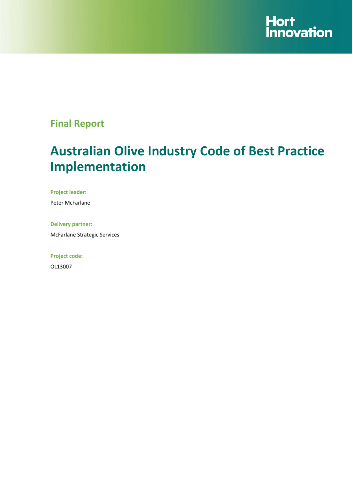

# **Final Report**

# **Australian Olive Industry Code of Best Practice Implementation**

**Project leader:** 

Peter McFarlane

**Delivery partner:** 

McFarlane Strategic Services

**Project code:** 

OL13007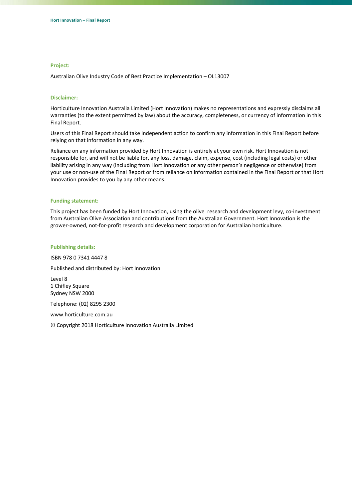#### **Project:**

Australian Olive Industry Code of Best Practice Implementation – OL13007

#### **Disclaimer:**

Horticulture Innovation Australia Limited (Hort Innovation) makes no representations and expressly disclaims all warranties (to the extent permitted by law) about the accuracy, completeness, or currency of information in this Final Report.

Users of this Final Report should take independent action to confirm any information in this Final Report before relying on that information in any way.

Reliance on any information provided by Hort Innovation is entirely at your own risk. Hort Innovation is not responsible for, and will not be liable for, any loss, damage, claim, expense, cost (including legal costs) or other liability arising in any way (including from Hort Innovation or any other person's negligence or otherwise) from your use or non‐use of the Final Report or from reliance on information contained in the Final Report or that Hort Innovation provides to you by any other means.

#### **Funding statement:**

This project has been funded by Hort Innovation, using the olive research and development levy, co-investment from Australian Olive Association and contributions from the Australian Government. Hort Innovation is the grower-owned, not-for-profit research and development corporation for Australian horticulture.

#### **Publishing details:**

ISBN 978 0 7341 4447 8

Published and distributed by: Hort Innovation

Level 8 1 Chifley Square Sydney NSW 2000

Telephone: (02) 8295 2300

www.horticulture.com.au

© Copyright 2018 Horticulture Innovation Australia Limited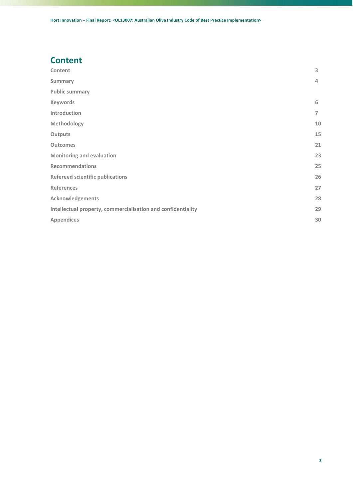# **Content**

| Content                                                      | 3  |
|--------------------------------------------------------------|----|
| <b>Summary</b>                                               | 4  |
| <b>Public summary</b>                                        |    |
| <b>Keywords</b>                                              | 6  |
| Introduction                                                 | 7  |
| Methodology                                                  | 10 |
| <b>Outputs</b>                                               | 15 |
| <b>Outcomes</b>                                              | 21 |
| <b>Monitoring and evaluation</b>                             | 23 |
| <b>Recommendations</b>                                       | 25 |
| <b>Refereed scientific publications</b>                      | 26 |
| <b>References</b>                                            | 27 |
| <b>Acknowledgements</b>                                      | 28 |
| Intellectual property, commercialisation and confidentiality | 29 |
| <b>Appendices</b>                                            | 30 |
|                                                              |    |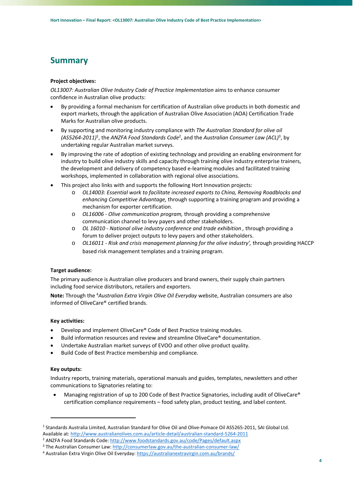# **Summary**

# **Project objectives:**

*OL13007: Australian Olive Industry Code of Practice Implementation* aims to enhance consumer confidence in Australian olive products:

- By providing a formal mechanism for certification of Australian olive products in both domestic and export markets, through the application of Australian Olive Association (AOA) Certification Trade Marks for Australian olive products.
- By supporting and monitoring industry compliance with *The Australian Standard for olive oil (AS5264‐2011)*<sup>1</sup> , the *ANZFA Food Standards Code*<sup>2</sup> , and the *Australian Consumer Law (ACL)*<sup>3</sup> , by undertaking regular Australian market surveys.
- By improving the rate of adoption of existing technology and providing an enabling environment for industry to build olive industry skills and capacity through training olive industry enterprise trainers, the development and delivery of competency based e‐learning modules and facilitated training workshops, implemented in collaboration with regional olive associations.
- This project also links with and supports the following Hort Innovation projects:
	- o *OL14003: Essential work to facilitate increased exports to China, Removing Roadblocks and enhancing Competitive Advantage,* through supporting a training program and providing a mechanism for exporter certification.
	- o *OL16006 ‐ Olive communication program,* through providing a comprehensive communication channel to levy payers and other stakeholders.
	- o *OL 16010 ‐ National olive industry conference and trade exhibition ,* through providing a forum to deliver project outputs to levy payers and other stakeholders.
	- o *OL16011 ‐ Risk and crisis management planning for the olive industry',* through providing HACCP based risk management templates and a training program.

# **Target audience:**

The primary audience is Australian olive producers and brand owners, their supply chain partners including food service distributors, retailers and exporters.

**Note:** Through the 4 *Australian Extra Virgin Olive Oil Everyday* website, Australian consumers are also informed of OliveCare® certified brands.

# **Key activities:**

- Develop and implement OliveCare® Code of Best Practice training modules.
- Build information resources and review and streamline OliveCare® documentation.
- Undertake Australian market surveys of EVOO and other olive product quality.
- Build Code of Best Practice membership and compliance.

## **Key outputs:**

Industry reports, training materials, operational manuals and guides, templates, newsletters and other communications to Signatories relating to:

 Managing registration of up to 200 Code of Best Practice Signatories, including audit of OliveCare® certification compliance requirements – food safety plan, product testing, and label content.

<sup>1</sup> Standards Australia Limited, Australian Standard for Olive Oil and Olive‐Pomace Oil AS5265‐2011, SAI Global Ltd. Available at: http://www.australianolives.com.au/article‐detail/australian‐standard‐5264‐2011

<sup>2</sup> ANZFA Food Standards Code: http://www.foodstandards.gov.au/code/Pages/default.aspx

<sup>&</sup>lt;sup>3</sup> The Australian Consumer Law: http://consumerlaw.gov.au/the-australian-consumer-law/

<sup>&</sup>lt;sup>4</sup> Australian Extra Virgin Olive Oil Everyday: https://australianextravirgin.com.au/brands/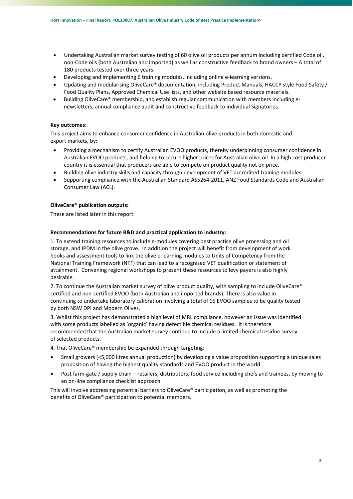- Undertaking Australian market survey testing of 60 olive oil products per annum including certified Code oil, non‐Code oils (both Australian and imported) as well as constructive feedback to brand owners – A total of 180 products tested over three years.
- Developing and implementing 6 training modules, including online e-learning versions.
- Updating and modularising OliveCare® documentation, including Product Manuals, HACCP style Food Safety / Food Quality Plans, Approved Chemical Use lists, and other website based resource materials.
- Building OliveCare® membership, and establish regular communication with members including e‐ newsletters, annual compliance audit and constructive feedback to individual Signatories.

## **Key outcomes:**

This project aims to enhance consumer confidence in Australian olive products in both domestic and export markets, by:

- Providing a mechanism to certify Australian EVOO products, thereby underpinning consumer confidence in Australian EVOO products, and helping to secure higher prices for Australian olive oil. In a high cost producer country it is essential that producers are able to compete on product quality not on price.
- Building olive industry skills and capacity through development of VET accredited training modules.
- Supporting compliance with the Australian Standard AS5264‐2011, ANZ Food Standards Code and Australian Consumer Law (ACL).

# **OliveCare® publication outputs:**

These are listed later in this report.

### **Recommendations for future R&D and practical application to industry:**

1. To extend training resources to include e-modules covering best practice olive processing and oil storage, and IPDM in the olive grove. In addition the project will benefit from development of work books and assessment tools to link the olive e‐learning modules to Units of Competency from the National Training Framework (NTF) that can lead to a recognised VET qualification or statement of attainment. Convening regional workshops to present these resources to levy payers is also highly desirable.

2. To continue the Australian market survey of olive product quality, with sampling to include OliveCare® certified and non‐certified EVOO (both Australian and imported brands). There is also value in continuing to undertake laboratory calibration involving a total of 15 EVOO samples to be quality tested by both NSW DPI and Modern Olives.

3. Whilst this project has demonstrated a high level of MRL compliance, however an issue was identified with some products labelled as 'organic' having detectible chemical residues. It is therefore recommended that the Australian market survey continue to include a limited chemical residue survey of selected products.

4. That OliveCare® membership be expanded through targeting:

- Small growers (<5,000 litres annual production) by developing a value proposition supporting a unique sales proposition of having the highest quality standards and EVOO product in the world.
- Post farm‐gate / supply chain retailers, distributors, food service including chefs and trainees, by moving to an on‐line compliance checklist approach.

This will involve addressing potential barriers to OliveCare® participation, as well as promoting the benefits of OliveCare® participation to potential members.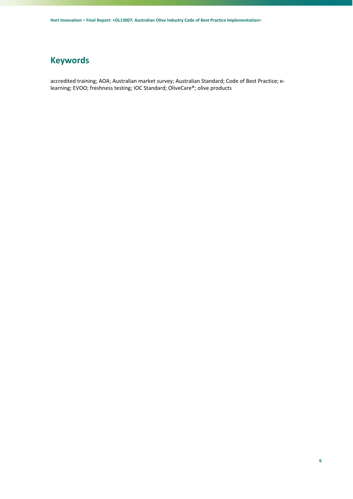# **Keywords**

accredited training; AOA; Australian market survey; Australian Standard; Code of Best Practice; e‐ learning; EVOO; freshness testing; IOC Standard; OliveCare®; olive products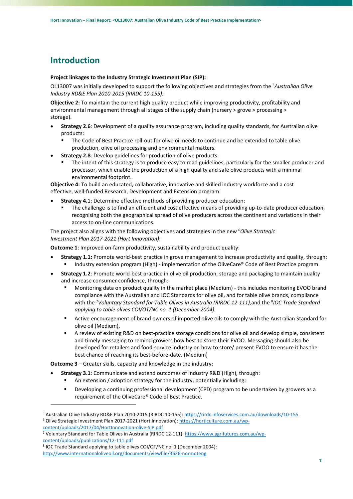# **Introduction**

#### **Project linkages to the Industry Strategic Investment Plan (SIP):**

OL13007 was initially developed to support the following objectives and strategies from the 5 *Australian Olive Industry RD&E Plan 2010‐2015 (RIRDC 10‐155):*

**Objective 2:** To maintain the current high quality product while improving productivity, profitability and environmental management through all stages of the supply chain (nursery > grove > processing > storage).

- **Strategy 2.6**: Development of a quality assurance program, including quality standards, for Australian olive products:
	- The Code of Best Practice roll‐out for olive oil needs to continue and be extended to table olive production, olive oil processing and environmental matters.
- **Strategy 2.8**: Develop guidelines for production of olive products:
	- The intent of this strategy is to produce easy to read guidelines, particularly for the smaller producer and processor, which enable the production of a high quality and safe olive products with a minimal environmental footprint.

**Objective 4:** To build an educated, collaborative, innovative and skilled industry workforce and a cost effective, well-funded Research, Development and Extension program:

- **Strategy 4.**1: Determine effective methods of providing producer education:
	- The challenge is to find an efficient and cost effective means of providing up-to-date producer education, recognising both the geographical spread of olive producers across the continent and variations in their access to on‐line communications.

The project also aligns with the following objectives and strategies in the new <sup>6</sup>Olive Strategic *Investment Plan 2017‐2021 (Hort Innovation)*:

**Outcome 1**: Improved on-farm productivity, sustainability and product quality:

- **Strategy 1.1:** Promote world-best practice in grove management to increase productivity and quality, through: Industry extension program (High) ‐ implementation of the OliveCare® Code of Best Practice program.
- **Strategy 1.2**: Promote world-best practice in olive oil production, storage and packaging to maintain quality and increase consumer confidence, through:
	- Monitoring data on product quality in the market place (Medium) ‐ this includes monitoring EVOO brand compliance with the Australian and IOC Standards for olive oil, and for table olive brands, compliance with the 7 *Voluntary Standard for Table Olives in Australia (RIRDC 12‐111),*and the 8 *IOC Trade Standard applying to table olives COI/OT/NC no. 1 (December 2004).*
	- Active encouragement of brand owners of imported olive oils to comply with the Australian Standard for olive oil (Medium),
	- A review of existing R&D on best-practice storage conditions for olive oil and develop simple, consistent and timely messaging to remind growers how best to store their EVOO. Messaging should also be developed for retailers and food‐service industry on how to store/ present EVOO to ensure it has the best chance of reaching its best‐before‐date. (Medium)

**Outcome 3** – Greater skills, capacity and knowledge in the industry:

- **Strategy 3.1**: Communicate and extend outcomes of industry R&D (High), through:
	- An extension / adoption strategy for the industry, potentially including:
	- Developing a continuing professional development (CPD) program to be undertaken by growers as a requirement of the OliveCare® Code of Best Practice.

content/uploads/2017/04/HortInnovation‐olive‐SIP.pdf

7 Voluntary Standard for Table Olives in Australia (RIRDC 12‐111): https://www.agrifutures.com.au/wp‐ content/uploads/publications/12‐111.pdf

<sup>5</sup> Australian Olive Industry RD&E Plan 2010‐2015 (RIRDC 10‐155): https://rirdc.infoservices.com.au/downloads/10‐155 6 Olive Strategic Investment Plan 2017‐2021 (Hort Innovation): https://horticulture.com.au/wp‐

<sup>8</sup> IOC Trade Standard applying to table olives COI/OT/NC no. 1 (December 2004): http://www.internationaloliveoil.org/documents/viewfile/3626‐normoteng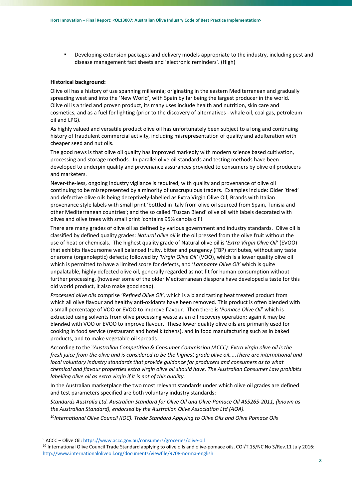Developing extension packages and delivery models appropriate to the industry, including pest and disease management fact sheets and 'electronic reminders'. (High)

#### **Historical background:**

Olive oil has a history of use spanning millennia; originating in the eastern Mediterranean and gradually spreading west and into the 'New World', with Spain by far being the largest producer in the world. Olive oil is a tried and proven product, its many uses include health and nutrition, skin care and cosmetics, and as a fuel for lighting (prior to the discovery of alternatives ‐ whale oil, coal gas, petroleum oil and LPG).

As highly valued and versatile product olive oil has unfortunately been subject to a long and continuing history of fraudulent commercial activity, including misrepresentation of quality and adulteration with cheaper seed and nut oils.

The good news is that olive oil quality has improved markedly with modern science based cultivation, processing and storage methods. In parallel olive oil standards and testing methods have been developed to underpin quality and provenance assurances provided to consumers by olive oil producers and marketers.

Never‐the‐less, ongoing industry vigilance is required, with quality and provenance of olive oil continuing to be misrepresented by a minority of unscrupulous traders. Examples include: Older 'tired' and defective olive oils being deceptively-labelled as Extra Virgin Olive Oil; Brands with Italian provenance style labels with small print 'bottled in Italy from olive oil sourced from Spain, Tunisia and other Mediterranean countries'; and the so called 'Tuscan Blend' olive oil with labels decorated with olives and olive trees with small print 'contains 95% canola oil'!

There are many grades of olive oil as defined by various government and industry standards. Olive oil is classified by defined quality grades: *Natural olive oil* is the oil pressed from the olive fruit without the use of heat or chemicals. The highest quality grade of Natural olive oil is '*Extra Virgin Olive Oil'* (EVOO) that exhibits flavoursome well balanced fruity, bitter and pungency (FBP) attributes, without any taste or aroma (organoleptic) defects; followed by *'Virgin Olive Oil'* (VOO), which is a lower quality olive oil which is permitted to have a limited score for defects, and '*Lampante Olive Oil'* which is quite unpalatable, highly defected olive oil, generally regarded as not fit for human consumption without further processing, (however some of the older Mediterranean diaspora have developed a taste for this old world product, it also make good soap).

*Processed olive oils* comprise '*Refined Olive Oil'*, which is a bland tasting heat treated product from which all olive flavour and healthy anti‐oxidants have been removed. This product is often blended with a small percentage of VOO or EVOO to improve flavour. Then there is '*Pomace Olive Oil*' which is extracted using solvents from olive processing waste as an oil recovery operation; again it may be blended with VOO or EVOO to improve flavour. These lower quality olive oils are primarily used for cooking in food service (restaurant and hotel kitchens), and in food manufacturing such as in baked products, and to make vegetable oil spreads.

According to the 9 *Australian Competition & Consumer Commission (ACCC)*: *Extra virgin olive oil is the fresh juice from the olive and is considered to be the highest grade olive oil…..There are international and local voluntary industry standards that provide guidance for producers and consumers as to what chemical and flavour properties extra virgin olive oil should have. The Australian Consumer Law prohibits labelling olive oil as extra virgin if it is not of this quality.* 

In the Australian marketplace the two most relevant standards under which olive oil grades are defined and test parameters specified are both voluntary industry standards:

*Standards Australia Ltd. Australian Standard for Olive Oil and Olive‐Pomace Oil AS5265‐2011, (known as the Australian Standard), endorsed by the Australian Olive Association Ltd (AOA).* 

*10International Olive Council (IOC). Trade Standard Applying to Olive Oils and Olive Pomace Oils* 

<u> Andrew Maria (1989)</u>

<sup>9</sup> ACCC – Olive Oil: https://www.accc.gov.au/consumers/groceries/olive‐oil

<sup>&</sup>lt;sup>10</sup> International Olive Council Trade Standard applying to olive oils and olive-pomace oils, COI/T.15/NC No 3/Rev.11 July 2016: http://www.internationaloliveoil.org/documents/viewfile/9708‐norma‐english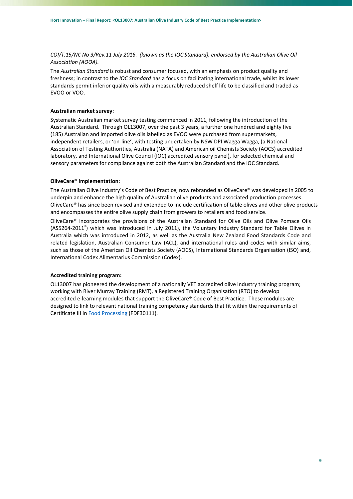*COI/T.15/NC No 3/Rev.11 July 2016. (known as the IOC Standard), endorsed by the Australian Olive Oil Association (AOOA).* 

The *Australian Standard* is robust and consumer focused, with an emphasis on product quality and freshness; in contrast to the *IOC Standard* has a focus on facilitating international trade, whilst its lower standards permit inferior quality oils with a measurably reduced shelf life to be classified and traded as EVOO or VOO.

#### **Australian market survey:**

Systematic Australian market survey testing commenced in 2011, following the introduction of the Australian Standard. Through OL13007, over the past 3 years, a further one hundred and eighty five (185) Australian and imported olive oils labelled as EVOO were purchased from supermarkets, independent retailers, or 'on‐line', with testing undertaken by NSW DPI Wagga Wagga, (a National Association of Testing Authorities, Australia (NATA) and American oil Chemists Society (AOCS) accredited laboratory, and International Olive Council (IOC) accredited sensory panel), for selected chemical and sensory parameters for compliance against both the Australian Standard and the IOC Standard.

#### **OliveCare® implementation:**

The Australian Olive Industry's Code of Best Practice, now rebranded as OliveCare® was developed in 2005 to underpin and enhance the high quality of Australian olive products and associated production processes. OliveCare® has since been revised and extended to include certification of table olives and other olive products and encompasses the entire olive supply chain from growers to retailers and food service.

OliveCare® incorporates the provisions of the Australian Standard for Olive Oils and Olive Pomace Oils (AS5264‐2011® ) which was introduced in July 2011), the Voluntary Industry Standard for Table Olives in Australia which was introduced in 2012, as well as the Australia New Zealand Food Standards Code and related legislation, Australian Consumer Law (ACL), and international rules and codes with similar aims, such as those of the American Oil Chemists Society (AOCS), International Standards Organisation (ISO) and, International Codex Alimentarius Commission (Codex).

## **Accredited training program:**

OL13007 has pioneered the development of a nationally VET accredited olive industry training program; working with River Murray Training (RMT), a Registered Training Organisation (RTO) to develop accredited e-learning modules that support the OliveCare® Code of Best Practice. These modules are designed to link to relevant national training competency standards that fit within the requirements of Certificate III in Food Processing (FDF30111).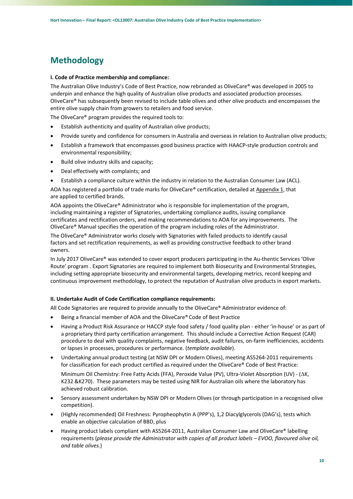# **Methodology**

## **I. Code of Practice membership and compliance:**

The Australian Olive Industry's Code of Best Practice, now rebranded as OliveCare® was developed in 2005 to underpin and enhance the high quality of Australian olive products and associated production processes. OliveCare® has subsequently been revised to include table olives and other olive products and encompasses the entire olive supply chain from growers to retailers and food service.

The OliveCare® program provides the required tools to:

- Establish authenticity and quality of Australian olive products;
- Provide surety and confidence for consumers in Australia and overseas in relation to Australian olive products;
- Establish a framework that encompasses good business practice with HAACP‐style production controls and environmental responsibility;
- Build olive industry skills and capacity;
- Deal effectively with complaints; and
- Establish a compliance culture within the industry in relation to the Australian Consumer Law (ACL).

AOA has registered a portfolio of trade marks for OliveCare® certification, detailed at Appendix 1, that are applied to certified brands.

AOA appoints the OliveCare® Administrator who is responsible for implementation of the program, including maintaining a register of Signatories, undertaking compliance audits, issuing compliance certificates and rectification orders, and making recommendations to AOA for any improvements. The OliveCare® Manual specifies the operation of the program including roles of the Administrator.

The OliveCare® Administrator works closely with Signatories with failed products to identify causal factors and set rectification requirements, as well as providing constructive feedback to other brand owners.

In July 2017 OliveCare<sup>®</sup> was extended to cover export producers participating in the Au-thentic Services 'Olive Route' program . Export Signatories are required to implement both Biosecurity and Environmental Strategies, including setting appropriate biosecurity and environmental targets, developing metrics, record keeping and continuous improvement methodology, to protect the reputation of Australian olive products in export markets.

### **II. Undertake Audit of Code Certification compliance requirements:**

All Code Signatories are required to provide annually to the OliveCare® Administrator evidence of:

- Being a financial member of AOA and the OliveCare® Code of Best Practice
- Having a Product Risk Assurance or HACCP style food safety / food quality plan ‐ either 'in‐house' or as part of a proprietary third party certification arrangement. This should include a Corrective Action Request (CAR) procedure to deal with quality complaints, negative feedback, audit failures, on‐farm inefficiencies, accidents or lapses in processes, procedures or performance. (*template available*).
- Undertaking annual product testing (at NSW DPI or Modern Olives), meeting AS5264‐2011 requirements for classification for each product certified as required under the OliveCare® Code of Best Practice:

Minimum Oil Chemistry: Free Fatty Acids (FFA), Peroxide Value (PV), Ultra-Violet Absorption (UV) - (AK, K232 &K270). These parameters may be tested using NIR for Australian oils where the laboratory has achieved robust calibration.

- Sensory assessment undertaken by NSW DPI or Modern Olives (or through participation in a recognised olive competition).
- (Highly recommended) Oil Freshness: Pyropheophytin A (PPP's), 1,2 Diacylglycerols (DAG's), tests which enable an objective calculation of BBD, plus
- Having product labels compliant with AS5264-2011, Australian Consumer Law and OliveCare® labelling requirements (*please provide the Administrator with copies of all product labels – EVOO, flavoured olive oil, and table olives.*)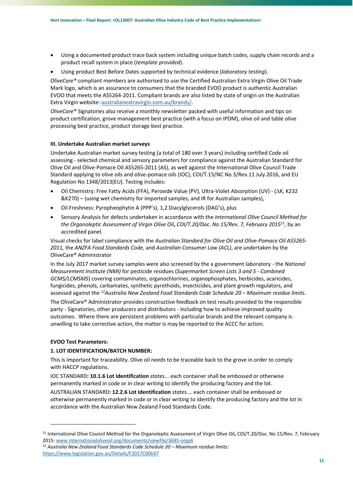- Using a documented product trace back system including unique batch codes, supply chain records and a product recall system in place (*template provided*).
- Using product Best Before Dates supported by technical evidence (*laboratory testing*).

*OliveCare®* compliant members are authorised to use the Certified Australian Extra Virgin Olive Oil Trade Mark logo, which is an assurance to consumers that the branded EVOO product is authentic Australian EVOO that meets the AS5264‐2011. Compliant brands are also listed by state of origin on the Australian Extra Virgin website: australianextravirgin.com.au/brands/.

*OliveCare®* Signatories also receive a monthly newsletter packed with useful information and tips on product certification, grove management best practice (with a focus on IPDM), olive oil and table olive processing best practice, product storage best practice.

# **III. Undertake Australian market surveys**

Undertake Australian market survey testing (a total of 180 over 3 years) including certified Code oil assessing ‐ selected chemical and sensory parameters for compliance against the Australian Standard for Olive Oil and Olive‐Pomace Oil AS5265‐2011 (AS), as well against the International Olive Council Trade Standard applying to olive oils and olive‐pomace oils (IOC), COI/T.15/NC No 3/Rev.11 July 2016, and EU Regulation No 1348/2013(EU). Testing includes:

- Oil Chemistry: Free Fatty Acids (FFA), Peroxide Value (PV), Ultra-Violet Absorption (UV) (△K, K232 &K270) – (using wet chemistry for imported samples, and IR for Australian samples),
- Oil Freshness: Pyropheophytin A (PPP's), 1,2 Diacylglycerols (DAG's), plus
- Sensory Analysis for defects undertaken in accordance with the *International Olive Council Method for the Organoleptic Assessment of Virgin Olive Oil***,** *COI/T.20/Doc. No 15/Rev. 7, February 201511,* by an accredited panel.

Visual checks for label compliance with the *Australian Standard for Olive Oil and Olive‐Pomace Oil AS5265‐ 2011,* the *ANZFA Food Standards Code*, and *Australian Consumer Law (ACL)*, are undertaken by the OliveCare® Administrator

In the July 2017 market survey samples were also screened by the a government laboratory ‐ the *National Measurement Institute (NMI)* for pesticide residues (*Supermarket Screen Lists 3 and 5 ‐ Combined GCMS/LCMSMS*) covering contaminates, organochlorines, organophosphates, herbicides, acaricides, fungicides, phenols, carbamates, synthetic pyrethoids, insecticides, and plant growth regulators, and assessed against the *12Australia New Zealand Food Standards Code Schedule 20 – Maximum residue limits.*

The OliveCare® Administrator provides constructive feedback on test results provided to the responsible party ‐ Signatories, other producers and distributors ‐ including how to achieve improved quality outcomes. Where there are persistent problems with particular brands and the relevant company is unwilling to take corrective action, the matter is may be reported to the ACCC for action.

### **EVOO Test Parameters:**

# **1. LOT IDENTIFICATION/BATCH NUMBER:**

This is important for traceability. Olive oil needs to be traceable back to the grove in order to comply with HACCP regulations.

IOC STANDARD**: 10.1.6 Lot Identification** *states*... each container shall be embossed or otherwise permanently marked in code or in clear writing to identify the producing factory and the lot.

AUSTRALIAN STANDARD**: 12.2.6 Lot Identification** *states*…. each container shall be embossed or otherwise permanently marked in code or in clear writing to identify the producing factory and the lot in accordance with the Australian New Zealand Food Standards Code.

<sup>11</sup> International Olive Council Method for the Organoleptic Assessment of Virgin Olive Oil**,** COI/T.20/Doc. No 15/Rev. 7, February 2015: www.internationaloliveoil.org/documents/viewfile/3685‐orga6

<sup>12</sup> *Australia New Zealand Food Standards Code Schedule 20 – Maximum residue limits:* https://www.legislation.gov.au/Details/F2017C00647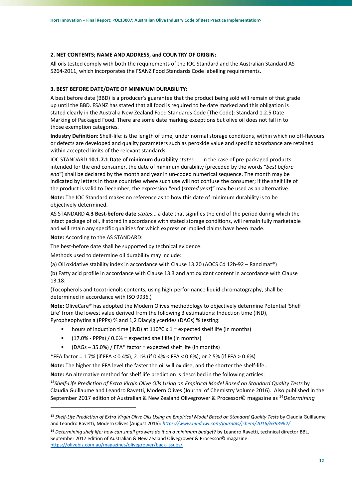# **2. NET CONTENTS; NAME AND ADDRESS, and COUNTRY OF ORIGIN:**

All oils tested comply with both the requirements of the IOC Standard and the Australian Standard AS 5264-2011, which incorporates the FSANZ Food Standards Code labelling requirements.

# **3. BEST BEFORE DATE/DATE OF MINIMUM DURABILITY:**

A best before date (BBD) is a producer's guarantee that the product being sold will remain of that grade up until the BBD. FSANZ has stated that all food is required to be date marked and this obligation is stated clearly in the Australia New Zealand Food Standards Code (The Code): Standard 1.2.5 Date Marking of Packaged Food. There are some date marking exceptions but olive oil does not fall in to those exemption categories.

**Industry Definition:** Shelf‐life: is the length of time, under normal storage conditions, within which no off‐flavours or defects are developed and quality parameters such as peroxide value and specific absorbance are retained within accepted limits of the relevant standards.

IOC STANDARD **10.1.7.1 Date of minimum durability** *states* .... in the case of pre‐packaged products intended for the end consumer, the date of minimum durability (preceded by the words "*best before*  end") shall be declared by the month and year in un-coded numerical sequence. The month may be indicated by letters in those countries where such use will not confuse the consumer; if the shelf life of the product is valid to December, the expression "end (*stated year*)" may be used as an alternative.

**Note:** The IOC Standard makes no reference as to how this date of minimum durability is to be objectively determined.

AS STANDARD **4.3 Best‐before date** *states*... a date that signifies the end of the period during which the intact package of oil, if stored in accordance with stated storage conditions, will remain fully marketable and will retain any specific qualities for which express or implied claims have been made.

**Note:** According to the AS STANDARD:

The best-before date shall be supported by technical evidence.

Methods used to determine oil durability may include:

(a) Oil oxidative stability index in accordance with Clause 13.20 (AOCS Cd 12b‐92 – Rancimat®)

(b) Fatty acid profile in accordance with Clause 13.3 and antioxidant content in accordance with Clause 13.18:

(Tocopherols and tocotrienols contents, using high‐performance liquid chromatography, shall be determined in accordance with ISO 9936.)

**Note:** OliveCare® has adopted the Modern Olives methodology to objectively determine Potential 'Shelf Life' from the lowest value derived from the following 3 estimations: Induction time (IND), Pyropheophytins a (PPPs) % and 1,2 Diacylglycerides (DAGs) % testing:

- hours of induction time (IND) at 110ºC x 1 = expected shelf life (in months)
- $(17.0\% PPPs) / 0.6\% = expected shelf life (in months)$
- (DAGs 35.0%) / FFA\* factor = expected shelf life (in months)

\*FFA factor = 1.7% (if FFA < 0.4%); 2.1% (if 0.4% < FFA < 0.6%); or 2.5% (if FFA > 0.6%)

**Note:** The higher the FFA level the faster the oil will oxidise, and the shorter the shelf‐life..

**Note:** An alternative method for shelf life prediction is described in the following articles:

*13Shelf‐Life Prediction of Extra Virgin Olive Oils Using an Empirical Model Based on Standard Quality Tests* by Claudia Guillaume and Leandro Ravetti, Modern Olives (Journal of Chemistry Volume 2016). Also published in the September 2017 edition of Australian & New Zealand Olivegrower & Processor© magazine as <sup>14</sup>*Determining* 

<sup>&</sup>lt;sup>13</sup> Shelf-Life Prediction of Extra Virgin Olive Oils Using an Empirical Model Based on Standard Quality Tests by Claudia Guillaume and Leandro Ravetti, Modern Olives (August 2016): *https://www.hindawi.com/journals/jchem/2016/6393962/*

<sup>14</sup> *Determining shelf life: how can small growers do it on a minimum budget?* by Leandro Ravetti, technical director BBL, September 2017 edition of Australian & New Zealand Olivegrower & Processor© magazine: https://olivebiz.com.au/magazines/olivegrower/back‐issues/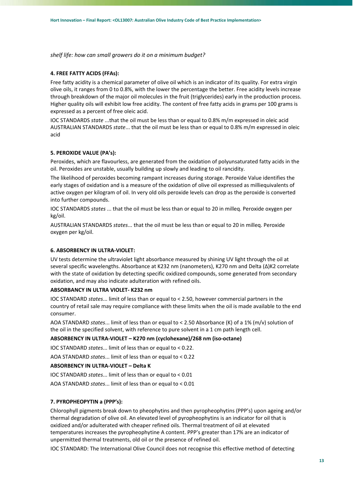*shelf life: how can small growers do it on a minimum budget?*

#### **4. FREE FATTY ACIDS (FFAs):**

Free fatty acidity is a chemical parameter of olive oil which is an indicator of its quality. For extra virgin olive oils, it ranges from 0 to 0.8%, with the lower the percentage the better. Free acidity levels increase through breakdown of the major oil molecules in the fruit (triglycerides) early in the production process. Higher quality oils will exhibit low free acidity. The content of free fatty acids in grams per 100 grams is expressed as a percent of free oleic acid.

IOC STANDARDS *state* ...that the oil must be less than or equal to 0.8% m/m expressed in oleic acid AUSTRALIAN STANDARDS *state*... that the oil must be less than or equal to 0.8% m/m expressed in oleic acid

## **5. PEROXIDE VALUE (PA's):**

Peroxides, which are flavourless, are generated from the oxidation of polyunsaturated fatty acids in the oil. Peroxides are unstable, usually building up slowly and leading to oil rancidity.

The likelihood of peroxides becoming rampant increases during storage. Peroxide Value identifies the early stages of oxidation and is a measure of the oxidation of olive oil expressed as milliequivalents of active oxygen per kilogram of oil. In very old oils peroxide levels can drop as the peroxide is converted into further compounds.

IOC STANDARDS *states* ... that the oil must be less than or equal to 20 in milleq. Peroxide oxygen per kg/oil.

AUSTRALIAN STANDARDS *states*... that the oil must be less than or equal to 20 in milleq. Peroxide oxygen per kg/oil.

# **6. ABSORBENCY IN ULTRA‐VIOLET:**

UV tests determine the ultraviolet light absorbance measured by shining UV light through the oil at several specific wavelengths. Absorbance at K232 nm (nanometers), K270 nm and Delta (Δ)K2 correlate with the state of oxidation by detecting specific oxidized compounds, some generated from secondary oxidation, and may also indicate adulteration with refined oils.

# **ABSORBANCY IN ULTRA VIOLET‐ K232 nm**

IOC STANDARD *states*... limit of less than or equal to < 2.50, however commercial partners in the country of retail sale may require compliance with these limits when the oil is made available to the end consumer.

AOA STANDARD *states*... limit of less than or equal to < 2.50 Absorbance (K) of a 1% (m/v) solution of the oil in the specified solvent, with reference to pure solvent in a 1 cm path length cell.

## **ABSORBENCY IN ULTRA‐VIOLET – K270 nm (cyclohexane)/268 nm (iso‐octane)**

IOC STANDARD *states*... limit of less than or equal to < 0.22.

AOA STANDARD *states*... limit of less than or equal to < 0.22

# **ABSORBENCY IN ULTRA‐VIOLET – Delta K**

IOC STANDARD *states*... limit of less than or equal to < 0.01

AOA STANDARD *states*... limit of less than or equal to < 0.01

#### **7. PYROPHEOPYTIN a (PPP's):**

Chlorophyll pigments break down to pheophytins and then pyropheophytins (PPP's) upon ageing and/or thermal degradation of olive oil. An elevated level of pyropheophytins is an indicator for oil that is oxidized and/or adulterated with cheaper refined oils. Thermal treatment of oil at elevated temperatures increases the pyropheophytine A content. PPP's greater than 17% are an indicator of unpermitted thermal treatments, old oil or the presence of refined oil.

IOC STANDARD: The International Olive Council does not recognise this effective method of detecting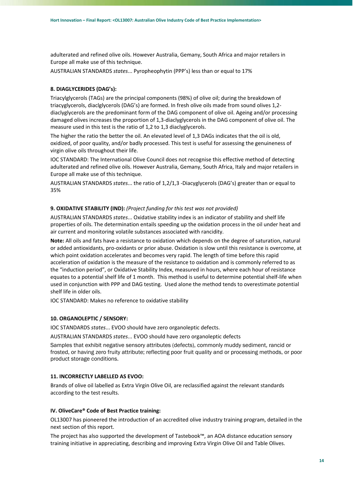adulterated and refined olive oils. However Australia, Gemany, South Africa and major retailers in Europe all make use of this technique.

AUSTRALIAN STANDARDS *states*... Pyropheophytin (PPP's) less than or equal to 17%

# **8. DIAGLYCERIDES (DAG's):**

Triacylglycerols (TAGs) are the principal components (98%) of olive oil; during the breakdown of triacyglycerols, diaclglycerols (DAG's) are formed. In fresh olive oils made from sound olives 1,2‐ diaclyglycerols are the predominant form of the DAG component of olive oil. Ageing and/or processing damaged olives increases the proportion of 1,3‐diaclyglycerols in the DAG component of olive oil. The measure used in this test is the ratio of 1,2 to 1,3 diaclyglycerols.

The higher the ratio the better the oil. An elevated level of 1,3 DAGs indicates that the oil is old, oxidized, of poor quality, and/or badly processed. This test is useful for assessing the genuineness of virgin olive oils throughout their life.

IOC STANDARD: The International Olive Council does not recognise this effective method of detecting adulterated and refined olive oils. However Australia, Gemany, South Africa, Italy and major retailers in Europe all make use of this technique.

AUSTRALIAN STANDARDS *states*... the ratio of 1,2/1,3 ‐Diacyglycerols (DAG's) greater than or equal to 35%

#### **9. OXIDATIVE STABILITY (IND):** *(Project funding for this test was not provided)*

AUSTRALIAN STANDARDS *states*... Oxidative stability index is an indicator of stability and shelf life properties of oils. The determination entails speeding up the oxidation process in the oil under heat and air current and monitoring volatile substances associated with rancidity.

**Note:** All oils and fats have a resistance to oxidation which depends on the degree of saturation, natural or added antioxidants, pro‐oxidants or prior abuse. Oxidation is slow until this resistance is overcome, at which point oxidation accelerates and becomes very rapid. The length of time before this rapid acceleration of oxidation is the measure of the resistance to oxidation and is commonly referred to as the "induction period", or Oxidative Stability Index, measured in hours, where each hour of resistance equates to a potential shelf life of 1 month. This method is useful to determine potential shelf‐life when used in conjunction with PPP and DAG testing. Used alone the method tends to overestimate potential shelf life in older oils.

IOC STANDARD: Makes no reference to oxidative stability

## **10. ORGANOLEPTIC / SENSORY:**

IOC STANDARDS *states*... EVOO should have zero organoleptic defects.

AUSTRALIAN STANDARDS *states*... EVOO should have zero organoleptic defects

Samples that exhibit negative sensory attributes (defects), commonly muddy sediment, rancid or frosted, or having zero fruity attribute; reflecting poor fruit quality and or processing methods, or poor product storage conditions.

# **11. INCORRECTLY LABELLED AS EVOO:**

Brands of olive oil labelled as Extra Virgin Olive Oil, are reclassified against the relevant standards according to the test results.

## **IV. OliveCare® Code of Best Practice training:**

OL13007 has pioneered the introduction of an accredited olive industry training program, detailed in the next section of this report.

The project has also supported the development of Tastebook™, an AOA distance education sensory training initiative in appreciating, describing and improving Extra Virgin Olive Oil and Table Olives.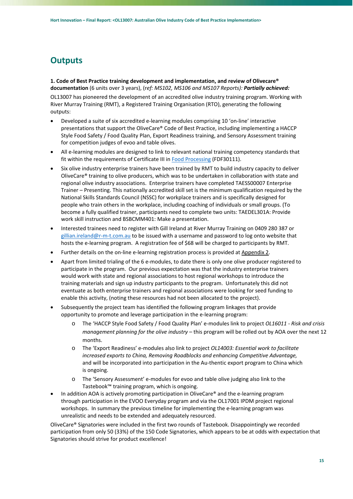# **Outputs**

# **1. Code of Best Practice training development and implementation, and review of Olivecare® documentation** (6 units over 3 years), (r*ef: MS102, MS106 and MS107 Reports): Partially achieved:*

OL13007 has pioneered the development of an accredited olive industry training program. Working with River Murray Training (RMT), a Registered Training Organisation (RTO), generating the following outputs:

- Developed a suite of six accredited e-learning modules comprising 10 'on-line' interactive presentations that support the OliveCare® Code of Best Practice, including implementing a HACCP Style Food Safety / Food Quality Plan, Export Readiness training, and Sensory Assessment training for competition judges of evoo and table olives.
- All e-learning modules are designed to link to relevant national training competency standards that fit within the requirements of Certificate III in Food Processing (FDF30111).
- Six olive industry enterprise trainers have been trained by RMT to build industry capacity to deliver OliveCare® training to olive producers, which was to be undertaken in collaboration with state and regional olive industry associations. Enterprise trainers have completed TAESS00007 Enterprise Trainer – Presenting. This nationally accredited skill set is the minimum qualification required by the National Skills Standards Council (NSSC) for workplace trainers and is specifically designed for people who train others in the workplace, including coaching of individuals or small groups. (To become a fully qualified trainer, participants need to complete two units: TAEDEL301A: Provide work skill instruction and BSBCMM401: Make a presentation.
- Interested trainees need to register with Gill Ireland at River Murray Training on 0409 280 387 or gillian.ireland@r-m-t.com.au to be issued with a username and password to log onto website that hosts the e-learning program. A registration fee of \$68 will be charged to participants by RMT.
- Further details on the on‐line e‐learning registration process is provided at Appendix 2.
- Apart from limited trialing of the 6 e-modules, to date there is only one olive producer registered to participate in the program. Our previous expectation was that the industry enterprise trainers would work with state and regional associations to host regional workshops to introduce the training materials and sign up industry participants to the program. Unfortunately this did not eventuate as both enterprise trainers and regional associations were looking for seed funding to enable this activity, (noting these resources had not been allocated to the project).
- Subsequently the project team has identified the following program linkages that provide opportunity to promote and leverage participation in the e‐learning program:
	- o The 'HACCP Style Food Safety / Food Quality Plan' e‐modules link to project *OL16011 ‐ Risk and crisis management planning for the olive industry* – this program will be rolled out by AOA over the next 12 months.
	- o The 'Export Readiness' e‐modules also link to project *OL14003: Essential work to facilitate increased exports to China, Removing Roadblocks and enhancing Competitive Advantage,*  and will be incorporated into participation in the Au-thentic export program to China which is ongoing.
	- o The 'Sensory Assessment' e‐modules for evoo and table olive judging also link to the Tastebook™ training program, which is ongoing.
- In addition AOA is actively promoting participation in OliveCare® and the e-learning program through participation in the EVOO Everyday program and via the OL17001 IPDM project regional workshops. In summary the previous timeline for implementing the e-learning program was unrealistic and needs to be extended and adequately resourced.

OliveCare® Signatories were included in the first two rounds of Tastebook. Disappointingly we recorded participation from only 50 (33%) of the 150 Code Signatories, which appears to be at odds with expectation that Signatories should strive for product excellence!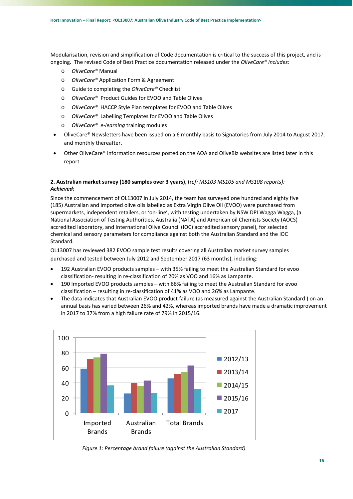Modularisation, revision and simplification of Code documentation is critical to the success of this project, and is ongoing. The revised Code of Best Practice documentation released under the *OliveCare® includes:*

- o *OliveCare®* Manual
- o *OliveCare®* Application Form & Agreement
- o Guide to completing the *OliveCare®* Checklist
- o *OliveCare®* Product Guides for EVOO and Table Olives
- o *OliveCare®* HACCP Style Plan templates for EVOO and Table Olives
- o *OliveCare®* Labelling Templates for EVOO and Table Olives
- o *OliveCare® e‐learning* training modules
- OliveCare® Newsletters have been issued on a 6 monthly basis to Signatories from July 2014 to August 2017, and monthly thereafter.
- Other OliveCare® information resources posted on the AOA and OliveBiz websites are listed later in this report.

# **2. Australian market survey (180 samples over 3 years)**, (r*ef: MS103 MS105 and MS108 reports): Achieved:*

Since the commencement of OL13007 in July 2014, the team has surveyed one hundred and eighty five (185) Australian and imported olive oils labelled as Extra Virgin Olive Oil (EVOO) were purchased from supermarkets, independent retailers, or 'on‐line', with testing undertaken by NSW DPI Wagga Wagga, (a National Association of Testing Authorities, Australia (NATA) and American oil Chemists Society (AOCS) accredited laboratory, and International Olive Council (IOC) accredited sensory panel), for selected chemical and sensory parameters for compliance against both the Australian Standard and the IOC Standard.

OL13007 has reviewed 382 EVOO sample test results covering all Australian market survey samples purchased and tested between July 2012 and September 2017 (63 months), including:

- 192 Australian EVOO products samples with 35% failing to meet the Australian Standard for evoo classification‐ resulting in re‐classification of 20% as VOO and 16% as Lampante.
- 190 Imported EVOO products samples with 66% failing to meet the Australian Standard for evoo classification – resulting in re‐classification of 41% as VOO and 26% as Lampante.
- The data indicates that Australian EVOO product failure (as measured against the Australian Standard ) on an annual basis has varied between 26% and 42%, whereas imported brands have made a dramatic improvement in 2017 to 37% from a high failure rate of 79% in 2015/16.



*Figure 1: Percentage brand failure (against the Australian Standard)*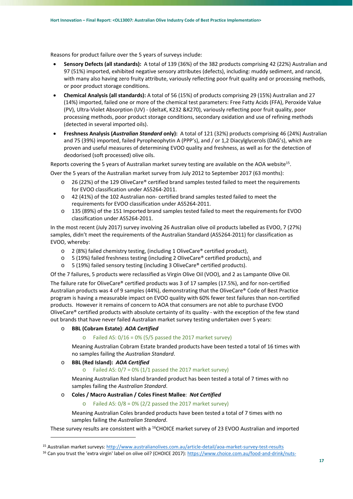Reasons for product failure over the 5 years of surveys include:

- **Sensory Defects (all standards):**  A total of 139 (36%) of the 382 products comprising 42 (22%) Australian and 97 (51%) imported, exhibited negative sensory attributes (defects), including: muddy sediment, and rancid, with many also having zero fruity attribute, variously reflecting poor fruit quality and or processing methods, or poor product storage conditions.
- **Chemical Analysis (all standards):** A total of 56 (15%) of products comprising 29 (15%) Australian and 27 (14%) imported, failed one or more of the chemical test parameters: Free Fatty Acids (FFA), Peroxide Value (PV), Ultra‐Violet Absorption (UV) ‐ (deltaK, K232 &K270), variously reflecting poor fruit quality, poor processing methods, poor product storage conditions, secondary oxidation and use of refining methods (detected in several imported oils).
- **Freshness Analysis (***Australian Standard* **only):** A total of 121 (32%) products comprising 46 (24%) Australian and 75 (39%) imported, failed Pyropheophytin A (PPP's), and / or 1,2 Diacylglycerols (DAG's), which are proven and useful measures of determining EVOO quality and freshness, as well as for the detection of deodorised (soft processed) olive oils.

Reports covering the 5 years of Australian market survey testing are available on the AOA website<sup>15</sup>.

Over the 5 years of the Australian market survey from July 2012 to September 2017 (63 months):

- o 26 (22%) of the 129 OliveCare® certified brand samples tested failed to meet the requirements for EVOO classification under AS5264‐2011.
- o 42 (41%) of the 102 Australian non‐ certified brand samples tested failed to meet the requirements for EVOO classification under AS5264‐2011.
- o 135 (89%) of the 151 Imported brand samples tested failed to meet the requirements for EVOO classification under AS5264‐2011.

In the most recent (July 2017) survey involving 26 Australian olive oil products labelled as EVOO, 7 (27%) samples, didn't meet the requirements of the Australian Standard (AS5264‐2011) for classification as EVOO, whereby:

- o 2 (8%) failed chemistry testing, (including 1 OliveCare® certified product),
- $\circ$  5 (19%) failed freshness testing (including 2 OliveCare® certified products), and
- o 5 (19%) failed sensory testing (including 3 OliveCare® certified products).

Of the 7 failures, 5 products were reclassified as Virgin Olive Oil (VOO), and 2 as Lampante Olive Oil.

The failure rate for OliveCare® certified products was 3 of 17 samples (17.5%), and for non‐certified Australian products was 4 of 9 samples (44%), demonstrating that the OliveCare® Code of Best Practice program is having a measurable impact on EVOO quality with 60% fewer test failures than non‐certified products. However it remains of concern to AOA that consumers are not able to purchase EVOO OliveCare® certified products with absolute certainty of its quality ‐ with the exception of the few stand out brands that have never failed Australian market survey testing undertaken over 5 years:

# o **BBL (Cobram Estate)**: *AOA Certified*

 $\circ$  Failed AS: 0/16 = 0% (5/5 passed the 2017 market survey)

Meaning Australian Cobram Estate branded products have been tested a total of 16 times with no samples failing the *Australian Standard*.

# o **BBL (Red Island):** *AOA Certified*

<u> Andrew Maria (1989)</u>

 $\circ$  Failed AS:  $0/7 = 0\%$  (1/1 passed the 2017 market survey)

Meaning Australian Red Island branded product has been tested a total of 7 times with no samples failing the *Australian Standard*.

### o **Coles / Macro Australian / Coles Finest Mallee**: *Not Certified*

Failed AS:  $0/8 = 0\%$  (2/2 passed the 2017 market survey)

Meaning Australian Coles branded products have been tested a total of 7 times with no samples failing the *Australian Standard*.

These survey results are consistent with a <sup>16</sup>CHOICE market survey of 23 EVOO Australian and imported

<sup>15</sup> Australian market surveys: http://www.australianolives.com.au/article-detail/aoa-market-survey-test-results

<sup>16</sup> Can you trust the 'extra virgin' label on olive oil? (CHOICE 2017): https://www.choice.com.au/food-and-drink/nuts-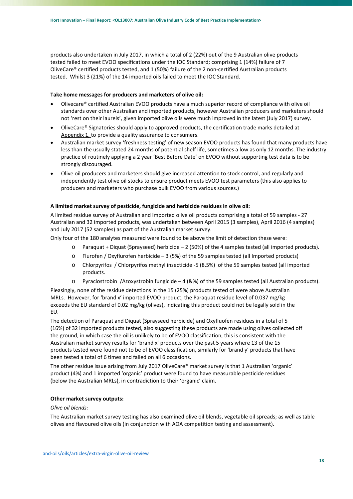products also undertaken in July 2017, in which a total of 2 (22%) out of the 9 Australian olive products tested failed to meet EVOO specifications under the IOC Standard; comprising 1 (14%) failure of 7 OliveCare® certified products tested, and 1 (50%) failure of the 2 non‐certified Australian products tested. Whilst 3 (21%) of the 14 imported oils failed to meet the IOC Standard.

# **Take home messages for producers and marketers of olive oil:**

- Olivecare® certified Australian EVOO products have a much superior record of compliance with olive oil standards over other Australian and imported products, however Australian producers and marketers should not 'rest on their laurels', given imported olive oils were much improved in the latest (July 2017) survey.
- OliveCare® Signatories should apply to approved products, the certification trade marks detailed at Appendix 1, to provide a quality assurance to consumers.
- Australian market survey 'freshness testing' of new season EVOO products has found that many products have less than the usually stated 24 months of potential shelf life, sometimes a low as only 12 months. The industry practice of routinely applying a 2 year 'Best Before Date' on EVOO without supporting test data is to be strongly discouraged.
- Olive oil producers and marketers should give increased attention to stock control, and regularly and independently test olive oil stocks to ensure product meets EVOO test parameters (this also applies to producers and marketers who purchase bulk EVOO from various sources.)

# **A limited market survey of pesticide, fungicide and herbicide residues in olive oil:**

A limited residue survey of Australian and Imported olive oil products comprising a total of 59 samples ‐ 27 Australian and 32 imported products, was undertaken between April 2015 (3 samples), April 2016 (4 samples) and July 2017 (52 samples) as part of the Australian market survey.

Only four of the 180 analytes measured were found to be above the limit of detection these were:

- $\circ$  Paraquat + Diquat (Sprayseed) herbicide 2 (50%) of the 4 samples tested (all imported products).
- o Flurofen / Oxyflurofen herbicide 3 (5%) of the 59 samples tested (all Imported products)
- o Chlorpyrifos / Chlorpyrifos methyl insecticide ‐5 (8.5%) of the 59 samples tested (all imported products.
- o Pyraclostrobin /Azoxystrobin fungicide 4 (&%) of the 59 samples tested (all Australian products).

Pleasingly, none of the residue detections in the 15 (25%) products tested of were above Australian MRLs. However, for 'brand x' imported EVOO product, the Paraquat residue level of 0.037 mg/kg exceeds the EU standard of 0.02 mg/kg (olives), indicating this product could not be legally sold in the EU.

The detection of Paraquat and Diquat (Sprayseed herbicide) and Oxyfluofen residues in a total of 5 (16%) of 32 imported products tested, also suggesting these products are made using olives collected off the ground, in which case the oil is unlikely to be of EVOO classification, this is consistent with the Australian market survey results for 'brand x' products over the past 5 years where 13 of the 15 products tested were found not to be of EVOO classification, similarly for 'brand y' products that have been tested a total of 6 times and failed on all 6 occasions.

The other residue issue arising from July 2017 OliveCare® market survey is that 1 Australian 'organic' product (4%) and 1 imported 'organic' product were found to have measurable pesticide residues (below the Australian MRLs), in contradiction to their 'organic' claim.

# **Other market survey outputs:**

# *Olive oil blends:*

The Australian market survey testing has also examined olive oil blends, vegetable oil spreads; as well as table olives and flavoured olive oils (in conjunction with AOA competition testing and assessment).

<u> La componenta de la componenta de la componenta de la componenta de la componenta de la componenta de la com</u>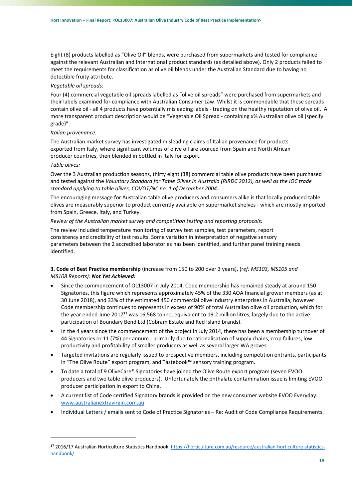Eight (8) products labelled as "Olive Oil" blends, were purchased from supermarkets and tested for compliance against the relevant Australian and International product standards (as detailed above). Only 2 products failed to meet the requirements for classification as olive oil blends under the Australian Standard due to having no detectible fruity attribute.

## *Vegetable oil spreads:*

Four (4) commercial vegetable oil spreads labelled as "olive oil spreads" were purchased from supermarkets and their labels examined for compliance with Australian Consumer Law. Whilst it is commendable that these spreads contain olive oil ‐ all 4 products have potentially misleading labels ‐ trading on the healthy reputation of olive oil. A more transparent product description would be "Vegetable Oil Spread ‐ containing x% Australian olive oil (specify grade)".

### *Italian provenance:*

<u> Andrew Maria (1989)</u>

The Australian market survey has investigated misleading claims of Italian provenance for products exported from Italy, where significant volumes of olive oil are sourced from Spain and North African producer countries, then blended in bottled in Italy for export.

#### *Table olives:*

Over the 3 Australian production seasons, thirty eight (38) commercial table olive products have been purchased and tested against the *Voluntary Standard for Table Olives in Australia (RIRDC 2012), as well as the IOC trade standard applying to table olives, COI/OT/NC no. 1 of December 2004.* 

The encouraging message for Australian table olive producers and consumers alike is that locally produced table olives are measurably superior to product currently available on supermarket shelves ‐ which are mostly imported from Spain, Greece, Italy, and Turkey.

### *Review of the Australian market survey and competition testing and reporting protocols:*

The review included temperature monitoring of survey test samples, test parameters, report consistency and credibility of test results. Some variation in interpretation of negative sensory parameters between the 2 accredited laboratories has been identified, and further panel training needs identified.

# **3. Code of Best Practice membership** (increase from 150 to 200 over 3 years), (r*ef: MS103, MS105 and MS108 Reports): Not Yet Achieved:*

- Since the commencement of OL13007 in July 2014, Code membership has remained steady at around 150 Signatories, this figure which represents approximately 45% of the 330 AOA financial grower members (as at 30 June 2018), and 33% of the estimated 450 commercial olive industry enterprises in Australia; however Code membership continues to represents in excess of 90% of total Australian olive oil production, which for the year ended June 2017**<sup>17</sup>** was 16,568 tonne, equivalent to 19.2 million litres, largely due to the active participation of Boundary Bend Ltd (Cobram Estate and Red Island brands).
- In the 4 years since the commencement of the project in July 2014, there has been a membership turnover of 44 Signatories or 11 (7%) per annum - primarily due to rationalisation of supply chains, crop failures, low productivity and profitability of smaller producers as well as several larger WA groves.
- Targeted invitations are regularly issued to prospective members, including competition entrants, participants in "The Olive Route" export program, and Tastebook™ sensory training program.
- To date a total of 9 OliveCare® Signatories have joined the Olive Route export program (seven EVOO producers and two table olive producers). Unfortunately the phthalate contamination issue is limiting EVOO producer participation in export to China.
- A current list of Code certified Signatory brands is provided on the new consumer website EVOO Everyday: www.australianextravirgin.com.au
- Individual Letters / emails sent to Code of Practice Signatories Re: Audit of Code Compliance Requirements.

<sup>17 2016/17</sup> Australian Horticulture Statistics Handbook: https://horticulture.com.au/resource/australian-horticulture-statisticshandbook/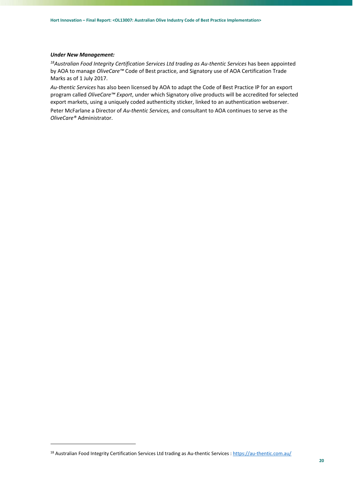## *Under New Management:*

*18Australian Food Integrity Certification Services Ltd trading as Au‐thentic Services* has been appointed by AOA to manage *OliveCare™* Code of Best practice, and Signatory use of AOA Certification Trade Marks as of 1 July 2017.

*Au‐thentic Services* has also been licensed by AOA to adapt the Code of Best Practice IP for an export program called *OliveCare™ Export*, under which Signatory olive products will be accredited for selected export markets, using a uniquely coded authenticity sticker, linked to an authentication webserver.

Peter McFarlane a Director of *Au‐thentic Services,* and consultant to AOA continues to serve as the *OliveCare®* Administrator.

<u> Andrew Maria (1989)</u>

<sup>18</sup> Australian Food Integrity Certification Services Ltd trading as Au-thentic Services : https://au-thentic.com.au/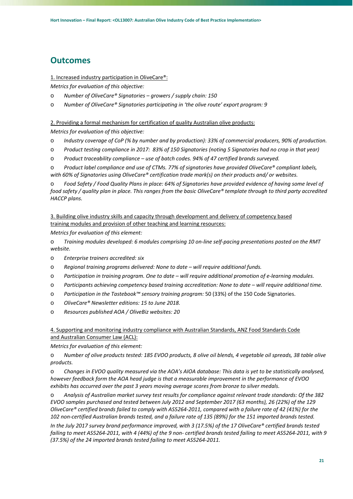# **Outcomes**

# 1. Increased industry participation in OliveCare®:

*Metrics for evaluation of this objective:* 

- o *Number of OliveCare® Signatories growers / supply chain: 150*
- o *Number of OliveCare® Signatories participating in 'the olive route' export program: 9*

# 2. Providing a formal mechanism for certification of quality Australian olive products:

*Metrics for evaluation of this objective:* 

- o *Industry coverage of CoP (% by number and by production): 33% of commercial producers, 90% of production.*
- o *Product testing compliance in 2017: 83% of 150 Signatories (noting 5 Signatories had no crop in that year)*
- o *Product traceability compliance use of batch codes. 94% of 47 certified brands surveyed.*

o *Product label compliance and use of CTMs. 77% of signatories have provided OliveCare® compliant labels, with 60% of Signatories using OliveCare® certification trade mark(s) on their products and/ or websites.* 

o *Food Safety / Food Quality Plans in place: 64% of Signatories have provided evidence of having some level of food safety / quality plan in place. This ranges from the basic OliveCare® template through to third party accredited HACCP plans.* 

3. Building olive industry skills and capacity through development and delivery of competency based training modules and provision of other teaching and learning resources:

*Metrics for evaluation of this element:* 

o *Training modules developed: 6 modules comprising 10 on‐line self‐pacing presentations posted on the RMT website.* 

- o *Enterprise trainers accredited: six*
- o *Regional training programs delivered: None to date will require additional funds.*
- o *Participation in training program. One to date will require additional promotion of e‐learning modules.*
- o *Participants achieving competency based training accreditation: None to date will require additional time.*
- o *Participation in the Tastebook™ sensory training program:* 50 (33%) of the 150 Code Signatories.
- o *OliveCare® Newsletter editions: 15 to June 2018.*
- o *Resources published AOA / OliveBiz websites: 20*

# 4. Supporting and monitoring industry compliance with Australian Standards, ANZ Food Standards Code and Australian Consumer Law (ACL):

*Metrics for evaluation of this element:* 

o *Number of olive products tested: 185 EVOO products, 8 olive oil blends, 4 vegetable oil spreads, 38 table olive products.* 

o *Changes in EVOO quality measured via the AOA's AIOA database: This data is yet to be statistically analysed, however feedback form the AOA head judge is that a measurable improvement in the performance of EVOO exhibits has occurred over the past 3 years moving average scores from bronze to silver medals.* 

o *Analysis of Australian market survey test results for compliance against relevant trade standards: Of the 382 EVOO samples purchased and tested between July 2012 and September 2017 (63 months), 26 (22%) of the 129 OliveCare® certified brands failed to comply with AS5264‐2011, compared with a failure rate of 42 (41%) for the 102 non‐certified Australian brands tested, and a failure rate of 135 (89%) for the 151 imported brands tested.* 

*In the July 2017 survey brand performance improved, with 3 (17.5%) of the 17 OliveCare® certified brands tested failing to meet AS5264‐2011, with 4 (44%) of the 9 non‐ certified brands tested failing to meet AS5264‐2011, with 9 (37.5%) of the 24 imported brands tested failing to meet AS5264‐2011.*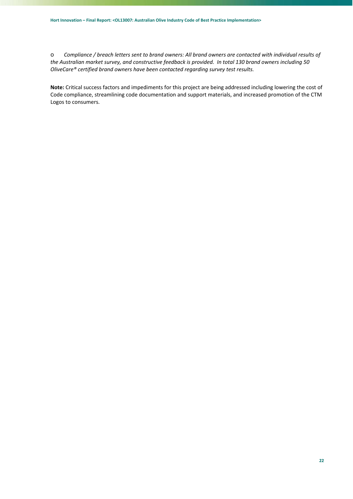o *Compliance / breach letters sent to brand owners: All brand owners are contacted with individual results of the Australian market survey, and constructive feedback is provided. In total 130 brand owners including 50 OliveCare® certified brand owners have been contacted regarding survey test results.* 

**Note:** Critical success factors and impediments for this project are being addressed including lowering the cost of Code compliance, streamlining code documentation and support materials, and increased promotion of the CTM Logos to consumers.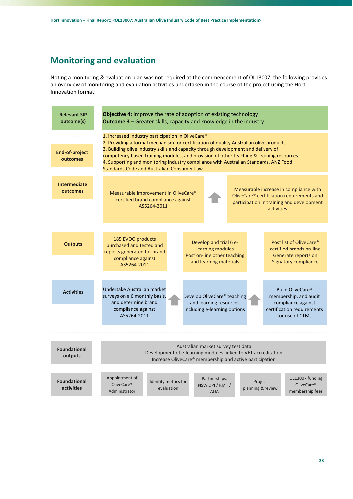# **Monitoring and evaluation**

Noting a monitoring & evaluation plan was not required at the commencement of OL13007, the following provides an overview of monitoring and evaluation activities undertaken in the course of the project using the Hort Innovation format:

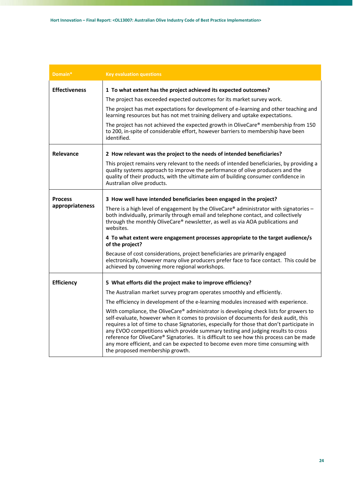| Domain*              | <b>Key evaluation questions</b>                                                                                                                                                                                                                                                                                                                                                                                                                                                                                                                                                     |  |  |  |  |
|----------------------|-------------------------------------------------------------------------------------------------------------------------------------------------------------------------------------------------------------------------------------------------------------------------------------------------------------------------------------------------------------------------------------------------------------------------------------------------------------------------------------------------------------------------------------------------------------------------------------|--|--|--|--|
| <b>Effectiveness</b> | 1 To what extent has the project achieved its expected outcomes?                                                                                                                                                                                                                                                                                                                                                                                                                                                                                                                    |  |  |  |  |
|                      | The project has exceeded expected outcomes for its market survey work.                                                                                                                                                                                                                                                                                                                                                                                                                                                                                                              |  |  |  |  |
|                      | The project has met expectations for development of e-learning and other teaching and<br>learning resources but has not met training delivery and uptake expectations.                                                                                                                                                                                                                                                                                                                                                                                                              |  |  |  |  |
|                      | The project has not achieved the expected growth in OliveCare® membership from 150<br>to 200, in-spite of considerable effort, however barriers to membership have been<br>identified.                                                                                                                                                                                                                                                                                                                                                                                              |  |  |  |  |
| Relevance            | 2 How relevant was the project to the needs of intended beneficiaries?                                                                                                                                                                                                                                                                                                                                                                                                                                                                                                              |  |  |  |  |
|                      | This project remains very relevant to the needs of intended beneficiaries, by providing a<br>quality systems approach to improve the performance of olive producers and the<br>quality of their products, with the ultimate aim of building consumer confidence in<br>Australian olive products.                                                                                                                                                                                                                                                                                    |  |  |  |  |
| <b>Process</b>       | 3 How well have intended beneficiaries been engaged in the project?                                                                                                                                                                                                                                                                                                                                                                                                                                                                                                                 |  |  |  |  |
| appropriateness      | There is a high level of engagement by the OliveCare® administrator with signatories $-$<br>both individually, primarily through email and telephone contact, and collectively<br>through the monthly OliveCare® newsletter, as well as via AOA publications and<br>websites.                                                                                                                                                                                                                                                                                                       |  |  |  |  |
|                      | 4 To what extent were engagement processes appropriate to the target audience/s<br>of the project?                                                                                                                                                                                                                                                                                                                                                                                                                                                                                  |  |  |  |  |
|                      | Because of cost considerations, project beneficiaries are primarily engaged<br>electronically, however many olive producers prefer face to face contact. This could be<br>achieved by convening more regional workshops.                                                                                                                                                                                                                                                                                                                                                            |  |  |  |  |
| <b>Efficiency</b>    | 5 What efforts did the project make to improve efficiency?                                                                                                                                                                                                                                                                                                                                                                                                                                                                                                                          |  |  |  |  |
|                      | The Australian market survey program operates smoothly and efficiently.                                                                                                                                                                                                                                                                                                                                                                                                                                                                                                             |  |  |  |  |
|                      | The efficiency in development of the e-learning modules increased with experience.                                                                                                                                                                                                                                                                                                                                                                                                                                                                                                  |  |  |  |  |
|                      | With compliance, the OliveCare® administrator is developing check lists for growers to<br>self-evaluate, however when it comes to provision of documents for desk audit, this<br>requires a lot of time to chase Signatories, especially for those that don't participate in<br>any EVOO competitions which provide summary testing and judging results to cross<br>reference for OliveCare® Signatories. It is difficult to see how this process can be made<br>any more efficient, and can be expected to become even more time consuming with<br>the proposed membership growth. |  |  |  |  |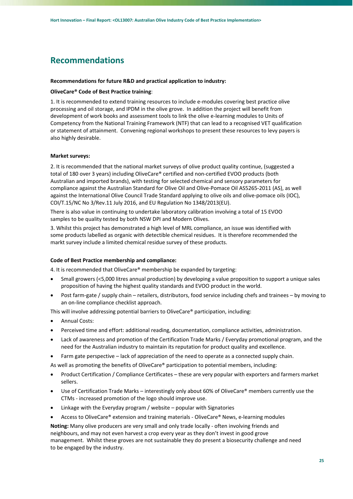# **Recommendations**

#### **Recommendations for future R&D and practical application to industry:**

#### **OliveCare® Code of Best Practice training**:

1. It is recommended to extend training resources to include e‐modules covering best practice olive processing and oil storage, and IPDM in the olive grove. In addition the project will benefit from development of work books and assessment tools to link the olive e‐learning modules to Units of Competency from the National Training Framework (NTF) that can lead to a recognised VET qualification or statement of attainment. Convening regional workshops to present these resources to levy payers is also highly desirable.

#### **Market surveys:**

2. It is recommended that the national market surveys of olive product quality continue, (suggested a total of 180 over 3 years) including OliveCare® certified and non-certified EVOO products (both Australian and imported brands), with testing for selected chemical and sensory parameters for compliance against the Australian Standard for Olive Oil and Olive‐Pomace Oil AS5265‐2011 (AS), as well against the International Olive Council Trade Standard applying to olive oils and olive-pomace oils (IOC), COI/T.15/NC No 3/Rev.11 July 2016, and EU Regulation No 1348/2013(EU).

There is also value in continuing to undertake laboratory calibration involving a total of 15 EVOO samples to be quality tested by both NSW DPI and Modern Olives.

3. Whilst this project has demonstrated a high level of MRL compliance, an issue was identified with some products labelled as organic with detectible chemical residues. It is therefore recommended the markt survey include a limited chemical residue survey of these products.

#### **Code of Best Practice membership and compliance:**

4. It is recommended that OliveCare® membership be expanded by targeting:

- Small growers (<5,000 litres annual production) by developing a value proposition to support a unique sales proposition of having the highest quality standards and EVOO product in the world.
- Post farm‐gate / supply chain retailers, distributors, food service including chefs and trainees by moving to an on‐line compliance checklist approach.

This will involve addressing potential barriers to OliveCare® participation, including:

- Annual Costs:
- Perceived time and effort: additional reading, documentation, compliance activities, administration.
- Lack of awareness and promotion of the Certification Trade Marks / Everyday promotional program, and the need for the Australian industry to maintain its reputation for product quality and excellence.
- Farm gate perspective lack of appreciation of the need to operate as a connected supply chain.

As well as promoting the benefits of OliveCare® participation to potential members, including:

- Product Certification / Compliance Certificates these are very popular with exporters and farmers market sellers.
- Use of Certification Trade Marks interestingly only about 60% of OliveCare® members currently use the CTMs ‐ increased promotion of the logo should improve use.
- Linkage with the Everyday program / website popular with Signatories
- Access to OliveCare® extension and training materials ‐ OliveCare® News, e‐learning modules

**Noting:** Many olive producers are very small and only trade locally ‐ often involving friends and neighbours, and may not even harvest a crop every year as they don't invest in good grove management. Whilst these groves are not sustainable they do present a biosecurity challenge and need to be engaged by the industry.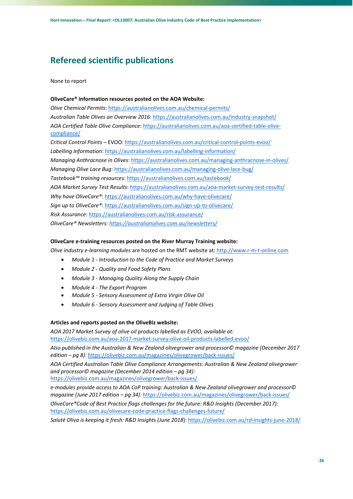# **Refereed scientific publications**

None to report

## **OliveCare® information resources posted on the AOA Website:**

*Olive Chemical Permits*: https://australianolives.com.au/chemical‐permits/ *Australian Table Olives an Overview 2016*: https://australianolives.com.au/industry‐snapshot/ *AOA Certified Table Olive Compliance*: https://australianolives.com.au/aoa‐certified‐table‐olive‐ compliance/ *Critical Control Points* – EVOO: https://australianolives.com.au/critical‐control‐points‐evoo/ *Labelling Information*: https://australianolives.com.au/labelling‐information/ *Managing Anthracnose in Olives*: https://australianolives.com.au/managing-anthracnose-in-olives/ *Managing Olive Lace Bug*: https://australianolives.com.au/managing‐olive‐lace‐bug/ *Tastebook™ training resources*: https://australianolives.com.au/tastebook/ *AOA Market Survey Test Results*: https://australianolives.com.au/aoa‐market‐survey‐test‐results/ *Why have OliveCare®*: https://australianolives.com.au/why‐have‐olivecare/ Sign up to OliveCare®: https://australianolives.com.au/sign-up-to-olivecare/ *Risk Assurance*: https://australianolives.com.au/risk‐assurance/ *OliveCare® Newsletters: https://australianolives.com.au/newsletters/*

# **OliveCare e‐training resources posted on the River Murray Training website:**

*Olive industry e‐learning modules* are hosted on the RMT website at: http://www.r‐m‐t‐online.com

- *Module 1 ‐ Introduction to the Code of Practice and Market Surveys*
- *Module 2 ‐ Quality and Food Safety Plans*
- *Module 3 ‐ Managing Quality Along the Supply Chain*
- *Module 4 ‐ The Export Program*
- *Module 5 ‐ Sensory Assessment of Extra Virgin Olive Oil*
- *Module 6 ‐ Sensory Assessment and Judging of Table Olives*

### **Articles and reports posted on the OliveBiz website:**

*AOA 2017 Market Survey of olive oil products labelled as EVOO, available at:*  https://olivebiz.com.au/aoa‐2017‐market‐survey‐olive‐oil‐products‐labelled‐evoo/

*Also published in the Australian & New Zealand olivegrower and processor© magazine (December 2017 edition – pg 8):* https://olivebiz.com.au/magazines/olivegrower/back‐issues/

*AOA Certified Australian Table Olive Compliance Arrangements: Australian & New Zealand olivegrower and processor© magazine (December 2014 edition – pg 34):*

https://olivebiz.com.au/magazines/olivegrower/back‐issues/

*e‐modules provide access to AOA CoP training: Australian & New Zealand olivegrower and processor© magazine (June 2017 edition – pg 34):* https://olivebiz.com.au/magazines/olivegrower/back‐issues/

*OliveCare®Code of Best Practice flags challenges for the future: R&D Insights (December 2017):* https://olivebiz.com.au/olivecare-code-practice-flags-challenges-future/

*Saluté Oliva is keeping it fresh: R&D Insights (June 2018*): https://olivebiz.com.au/rd‐insights‐june‐2018/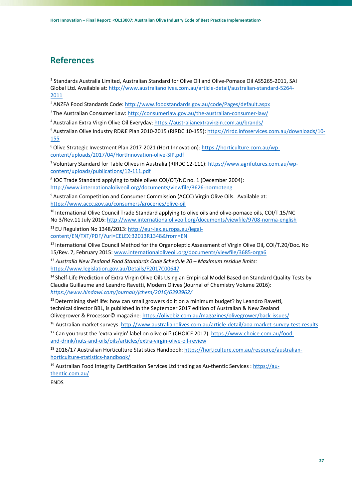# **References**

1 Standards Australia Limited, Australian Standard for Olive Oil and Olive‐Pomace Oil AS5265‐2011, SAI Global Ltd. Available at: http://www.australianolives.com.au/article‐detail/australian‐standard‐5264‐ 2011

2 ANZFA Food Standards Code: http://www.foodstandards.gov.au/code/Pages/default.aspx

<sup>3</sup> The Australian Consumer Law: http://consumerlaw.gov.au/the-australian-consumer-law/

4 Australian Extra Virgin Olive Oil Everyday: https://australianextravirgin.com.au/brands/

5 Australian Olive Industry RD&E Plan 2010-2015 (RIRDC 10-155): https://rirdc.infoservices.com.au/downloads/10-155

6 Olive Strategic Investment Plan 2017‐2021 (Hort Innovation): https://horticulture.com.au/wp‐ content/uploads/2017/04/HortInnovation‐olive‐SIP.pdf

7 Voluntary Standard for Table Olives in Australia (RIRDC 12‐111): https://www.agrifutures.com.au/wp‐ content/uploads/publications/12‐111.pdf

<sup>8</sup> IOC Trade Standard applying to table olives COI/OT/NC no. 1 (December 2004): http://www.internationaloliveoil.org/documents/viewfile/3626‐normoteng

9 Australian Competition and Consumer Commission (ACCC) Virgin Olive Oils. Available at: https://www.accc.gov.au/consumers/groceries/olive‐oil

<sup>10</sup> International Olive Council Trade Standard applying to olive oils and olive-pomace oils, COI/T.15/NC No 3/Rev.11 July 2016: http://www.internationaloliveoil.org/documents/viewfile/9708‐norma‐english

11 EU Regulation No 1348/2013: http://eur-lex.europa.eu/legalcontent/EN/TXT/PDF/?uri=CELEX:32013R1348&from=EN

12 International Olive Council Method for the Organoleptic Assessment of Virgin Olive Oil**,** COI/T.20/Doc. No 15/Rev. 7, February 2015: www.internationaloliveoil.org/documents/viewfile/3685‐orga6

<sup>13</sup> *Australia New Zealand Food Standards Code Schedule 20 – Maximum residue limits:* https://www.legislation.gov.au/Details/F2017C00647

14 Shelf‐Life Prediction of Extra Virgin Olive Oils Using an Empirical Model Based on Standard Quality Tests by Claudia Guillaume and Leandro Ravetti, Modern Olives (Journal of Chemistry Volume 2016): *https://www.hindawi.com/journals/jchem/2016/6393962/*

<sup>15</sup> Determining shelf life: how can small growers do it on a minimum budget? by Leandro Ravetti, technical director BBL, is published in the September 2017 edition of Australian & New Zealand Olivegrower & Processor© magazine: https://olivebiz.com.au/magazines/olivegrower/back‐issues/

16 Australian market surveys: http://www.australianolives.com.au/article-detail/aoa-market-survey-test-results

17 Can you trust the 'extra virgin' label on olive oil? (CHOICE 2017): https://www.choice.com.au/foodand-drink/nuts-and-oils/oils/articles/extra-virgin-olive-oil-review

18 2016/17 Australian Horticulture Statistics Handbook: https://horticulture.com.au/resource/australianhorticulture‐statistics‐handbook/

<sup>19</sup> Australian Food Integrity Certification Services Ltd trading as Au-thentic Services : https://authentic.com.au/

ENDS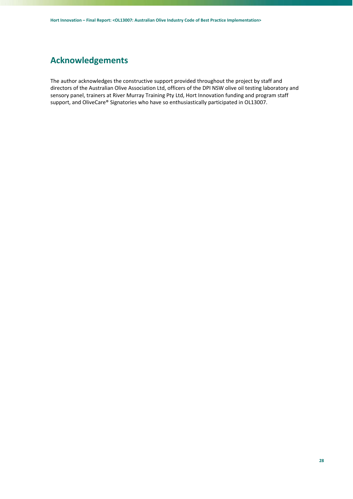# **Acknowledgements**

The author acknowledges the constructive support provided throughout the project by staff and directors of the Australian Olive Association Ltd, officers of the DPI NSW olive oil testing laboratory and sensory panel, trainers at River Murray Training Pty Ltd, Hort Innovation funding and program staff support, and OliveCare® Signatories who have so enthusiastically participated in OL13007.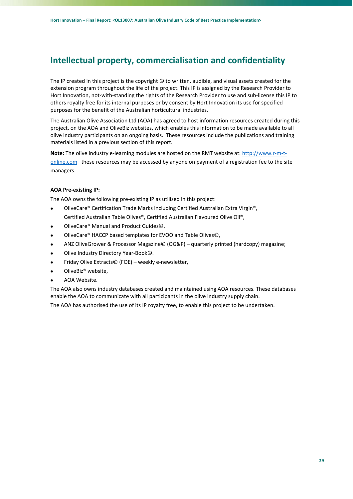# **Intellectual property, commercialisation and confidentiality**

The IP created in this project is the copyright © to written, audible, and visual assets created for the extension program throughout the life of the project. This IP is assigned by the Research Provider to Hort Innovation, not-with-standing the rights of the Research Provider to use and sub-license this IP to others royalty free for its internal purposes or by consent by Hort Innovation its use for specified purposes for the benefit of the Australian horticultural industries.

The Australian Olive Association Ltd (AOA) has agreed to host information resources created during this project, on the AOA and OliveBiz websites, which enables this information to be made available to all olive industry participants on an ongoing basis. These resources include the publications and training materials listed in a previous section of this report.

**Note:** The olive industry e‐learning modules are hosted on the RMT website at: http://www.r‐m‐t‐ online.com these resources may be accessed by anyone on payment of a registration fee to the site managers.

# **AOA Pre‐existing IP:**

The AOA owns the following pre‐existing IP as utilised in this project:

- OliveCare® Certification Trade Marks including Certified Australian Extra Virgin®, Certified Australian Table Olives®, Certified Australian Flavoured Olive Oil®,
- OliveCare® Manual and Product Guides©,
- OliveCare® HACCP based templates for EVOO and Table Olives©,
- ANZ OliveGrower & Processor Magazine© (OG&P) quarterly printed (hardcopy) magazine;
- Olive Industry Directory Year‐Book©.
- Friday Olive Extracts© (FOE) weekly e‐newsletter,
- OliveBiz® website,
- AOA Website.

The AOA also owns industry databases created and maintained using AOA resources. These databases enable the AOA to communicate with all participants in the olive industry supply chain.

The AOA has authorised the use of its IP royalty free, to enable this project to be undertaken.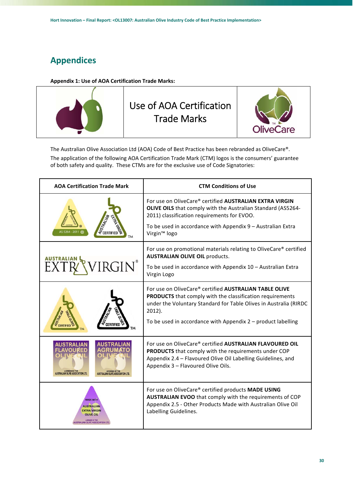# **Appendices**

**Appendix 1: Use of AOA Certification Trade Marks:** 



The Australian Olive Association Ltd (AOA) Code of Best Practice has been rebranded as OliveCare®. The application of the following AOA Certification Trade Mark (CTM) logos is the consumers' guarantee of both safety and quality. These CTMs are for the exclusive use of Code Signatories:

| <b>AOA Certification Trade Mark</b>                                                                                 | <b>CTM Conditions of Use</b>                                                                                                                                                                                                                                                   |  |  |  |  |
|---------------------------------------------------------------------------------------------------------------------|--------------------------------------------------------------------------------------------------------------------------------------------------------------------------------------------------------------------------------------------------------------------------------|--|--|--|--|
| S 5264 - 2011                                                                                                       | For use on OliveCare® certified AUSTRALIAN EXTRA VIRGIN<br>OLIVE OILS that comply with the Australian Standard (AS5264-<br>2011) classification requirements for EVOO.<br>To be used in accordance with Appendix 9 - Australian Extra<br>Virgin <sup>™</sup> logo              |  |  |  |  |
| $RGIN^*$                                                                                                            | For use on promotional materials relating to OliveCare® certified<br><b>AUSTRALIAN OLIVE OIL products.</b><br>To be used in accordance with Appendix 10 - Australian Extra<br>Virgin Logo                                                                                      |  |  |  |  |
|                                                                                                                     | For use on OliveCare® certified AUSTRALIAN TABLE OLIVE<br><b>PRODUCTS</b> that comply with the classification requirements<br>under the Voluntary Standard for Table Olives in Australia (RIRDC<br>$2012$ ).<br>To be used in accordance with Appendix $2$ – product labelling |  |  |  |  |
| LICENSED BY THE<br>ALISTRALIAN OF UP ASSOCIATION<br><b>RALIAN OLIVE ASSOCIATION LT</b>                              | For use on OliveCare® certified AUSTRALIAN FLAVOURED OIL<br><b>PRODUCTS</b> that comply with the requirements under COP<br>Appendix 2.4 - Flavoured Olive Oil Labelling Guidelines, and<br>Appendix 3 - Flavoured Olive Oils.                                                  |  |  |  |  |
| <b>MADE WITH</b><br><b>AUSTRALIAN</b><br><b>EXTRA VIRGIN</b><br><b>OLIVE OIL</b><br>ISTRALIAN OLIVE ASSOCIATION LTD | For use on OliveCare® certified products MADE USING<br>AUSTRALIAN EVOO that comply with the requirements of COP<br>Appendix 2.5 - Other Products Made with Australian Olive Oil<br>Labelling Guidelines.                                                                       |  |  |  |  |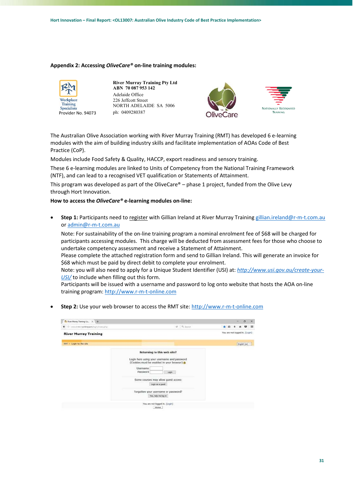#### **Appendix 2: Accessing** *OliveCare®* **on‐line training modules:**



**River Murray Training Pty Ltd ABN 70 087 953 142**  Adelaide Office 226 Jeffcott Street NORTH ADELAIDE SA 5006 ph: 0409280387





The Australian Olive Association working with River Murray Training (RMT) has developed 6 e‐learning modules with the aim of building industry skills and facilitate implementation of AOAs Code of Best Practice (CoP).

Modules include Food Safety & Quality, HACCP, export readiness and sensory training.

These 6 e-learning modules are linked to Units of Competency from the National Training Framework (NTF), and can lead to a recognised VET qualification or Statements of Attainment.

This program was developed as part of the OliveCare® – phase 1 project, funded from the Olive Levy through Hort Innovation.

#### **How to access the** *OliveCare®* **e‐learning modules on‐line:**

 **Step 1:** Participants need to register with Gillian Ireland at River Murray Training gillian.ireland@r‐m‐t.com.au or admin@r‐m‐t.com.au

Note: For sustainability of the on‐line training program a nominal enrolment fee of \$68 will be charged for participants accessing modules. This charge will be deducted from assessment fees for those who choose to undertake competency assessment and receive a Statement of Attainment.

Please complete the attached registration form and send to Gillian Ireland. This will generate an invoice for \$68 which must be paid by direct debit to complete your enrolment.

Note: you will also need to apply for a Unique Student Identifier (USI) at: *http://www.usi.gov.au/create‐your‐ USI/* to include when filling out this form.

Participants will be issued with a username and password to log onto website that hosts the AOA on‐line training program: http://www.r‐m‐t‐online.com

Step 2: Use your web browser to access the RMT site: http://www.r-m-t-online.com

| Th River Mussey Training Lo., X +    |                                                                                                                                                                                                                                                             |                               |  | $\frac{1}{\sqrt{2}}$ | $\times$ |
|--------------------------------------|-------------------------------------------------------------------------------------------------------------------------------------------------------------------------------------------------------------------------------------------------------------|-------------------------------|--|----------------------|----------|
| @ www.n-m-t-online.com/ogin/indexphp | e Q Search                                                                                                                                                                                                                                                  | 血                             |  |                      | 亖        |
| <b>River Murray Training</b>         |                                                                                                                                                                                                                                                             | You are not logged in. (Logn) |  |                      |          |
| RMT = Login to the site              |                                                                                                                                                                                                                                                             |                               |  | English (en)         |          |
|                                      | Returning to this web site?<br>Login here using your username and password<br>(Cookies must be enabled in your browser)<br>Username<br>Password<br>Login<br>Some courses may allow guest access<br>Login as a guest<br>Forgotten your username or password? |                               |  |                      |          |
|                                      | Yes, help me log in<br>You are not logged in. (Login)                                                                                                                                                                                                       |                               |  |                      |          |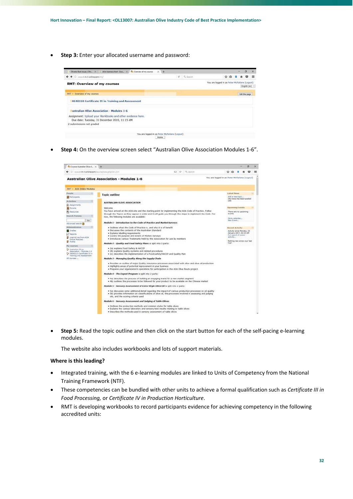**Step 3:** Enter your allocated username and password:



**Step 4:** On the overview screen select "Australian Olive Association Modules 1‐6".



**Step 5:** Read the topic outline and then click on the start button for each of the self-pacing e-learning modules.

The website also includes workbooks and lots of support materials.

### **Where is this leading?**

- Integrated training, with the 6 e-learning modules are linked to Units of Competency from the National Training Framework (NTF).
- These competencies can be bundled with other units to achieve a formal qualification such as *Certificate III in Food Processing,* or *Certificate IV in Production Horticulture*.
- RMT is developing workbooks to record participants evidence for achieving competency in the following accredited units: